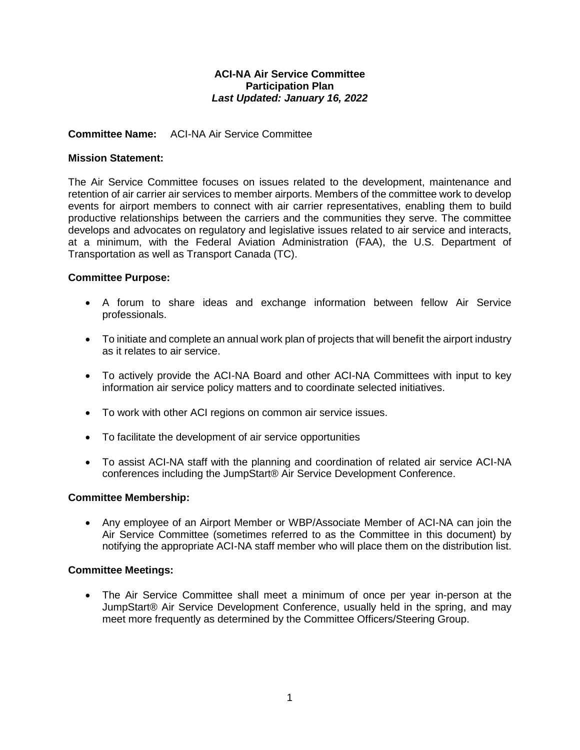### **ACI-NA Air Service Committee Participation Plan** *Last Updated: January 16, 2022*

#### **Committee Name:** ACI-NA Air Service Committee

#### **Mission Statement:**

The Air Service Committee focuses on issues related to the development, maintenance and retention of air carrier air services to member airports. Members of the committee work to develop events for airport members to connect with air carrier representatives, enabling them to build productive relationships between the carriers and the communities they serve. The committee develops and advocates on regulatory and legislative issues related to air service and interacts, at a minimum, with the Federal Aviation Administration (FAA), the U.S. Department of Transportation as well as Transport Canada (TC).

#### **Committee Purpose:**

- A forum to share ideas and exchange information between fellow Air Service professionals.
- To initiate and complete an annual work plan of projects that will benefit the airport industry as it relates to air service.
- To actively provide the ACI-NA Board and other ACI-NA Committees with input to key information air service policy matters and to coordinate selected initiatives.
- To work with other ACI regions on common air service issues.
- To facilitate the development of air service opportunities
- To assist ACI-NA staff with the planning and coordination of related air service ACI-NA conferences including the JumpStart® Air Service Development Conference.

#### **Committee Membership:**

 Any employee of an Airport Member or WBP/Associate Member of ACI-NA can join the Air Service Committee (sometimes referred to as the Committee in this document) by notifying the appropriate ACI-NA staff member who will place them on the distribution list.

#### **Committee Meetings:**

 The Air Service Committee shall meet a minimum of once per year in-person at the JumpStart® Air Service Development Conference, usually held in the spring, and may meet more frequently as determined by the Committee Officers/Steering Group.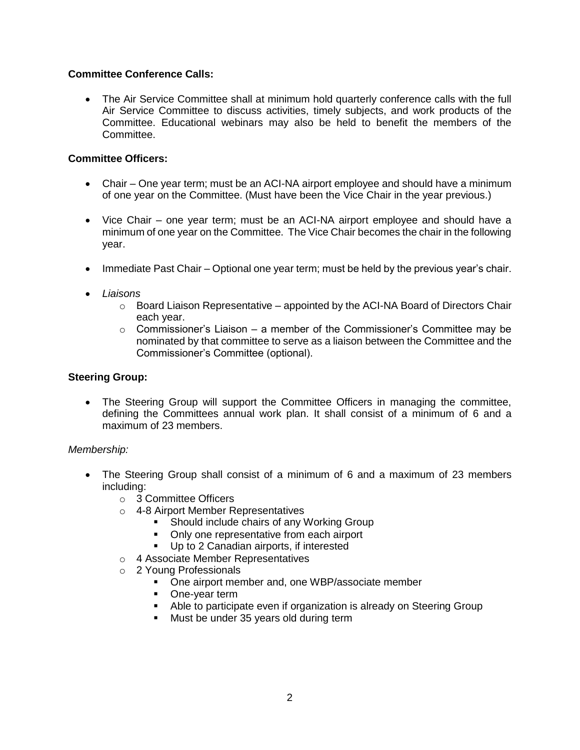# **Committee Conference Calls:**

 The Air Service Committee shall at minimum hold quarterly conference calls with the full Air Service Committee to discuss activities, timely subjects, and work products of the Committee. Educational webinars may also be held to benefit the members of the Committee.

# **Committee Officers:**

- Chair One year term; must be an ACI-NA airport employee and should have a minimum of one year on the Committee. (Must have been the Vice Chair in the year previous.)
- Vice Chair one year term; must be an ACI-NA airport employee and should have a minimum of one year on the Committee. The Vice Chair becomes the chair in the following year.
- Immediate Past Chair Optional one year term; must be held by the previous year's chair.
- *Liaisons* 
	- $\circ$  Board Liaison Representative appointed by the ACI-NA Board of Directors Chair each year.
	- $\circ$  Commissioner's Liaison a member of the Commissioner's Committee may be nominated by that committee to serve as a liaison between the Committee and the Commissioner's Committee (optional).

### **Steering Group:**

 The Steering Group will support the Committee Officers in managing the committee, defining the Committees annual work plan. It shall consist of a minimum of 6 and a maximum of 23 members.

### *Membership:*

- The Steering Group shall consist of a minimum of 6 and a maximum of 23 members including:
	- o 3 Committee Officers
	- o 4-8 Airport Member Representatives
		- **Should include chairs of any Working Group**
		- Only one representative from each airport
		- Up to 2 Canadian airports, if interested
	- o 4 Associate Member Representatives
	- o 2 Young Professionals
		- One airport member and, one WBP/associate member
		- **One-year term**
		- Able to participate even if organization is already on Steering Group
		- **Must be under 35 years old during term**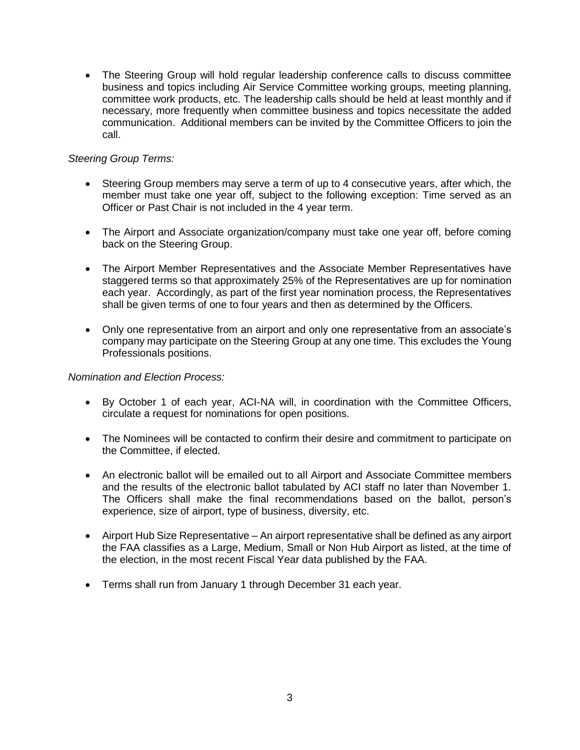The Steering Group will hold regular leadership conference calls to discuss committee business and topics including Air Service Committee working groups, meeting planning, committee work products, etc. The leadership calls should be held at least monthly and if necessary, more frequently when committee business and topics necessitate the added communication. Additional members can be invited by the Committee Officers to join the call.

### *Steering Group Terms:*

- Steering Group members may serve a term of up to 4 consecutive years, after which, the member must take one year off, subject to the following exception: Time served as an Officer or Past Chair is not included in the 4 year term.
- The Airport and Associate organization/company must take one year off, before coming back on the Steering Group.
- The Airport Member Representatives and the Associate Member Representatives have staggered terms so that approximately 25% of the Representatives are up for nomination each year. Accordingly, as part of the first year nomination process, the Representatives shall be given terms of one to four years and then as determined by the Officers.
- Only one representative from an airport and only one representative from an associate's company may participate on the Steering Group at any one time. This excludes the Young Professionals positions.

### *Nomination and Election Process:*

- By October 1 of each year, ACI-NA will, in coordination with the Committee Officers, circulate a request for nominations for open positions.
- The Nominees will be contacted to confirm their desire and commitment to participate on the Committee, if elected.
- An electronic ballot will be emailed out to all Airport and Associate Committee members and the results of the electronic ballot tabulated by ACI staff no later than November 1. The Officers shall make the final recommendations based on the ballot, person's experience, size of airport, type of business, diversity, etc.
- Airport Hub Size Representative An airport representative shall be defined as any airport the FAA classifies as a Large, Medium, Small or Non Hub Airport as listed, at the time of the election, in the most recent Fiscal Year data published by the FAA.
- Terms shall run from January 1 through December 31 each year.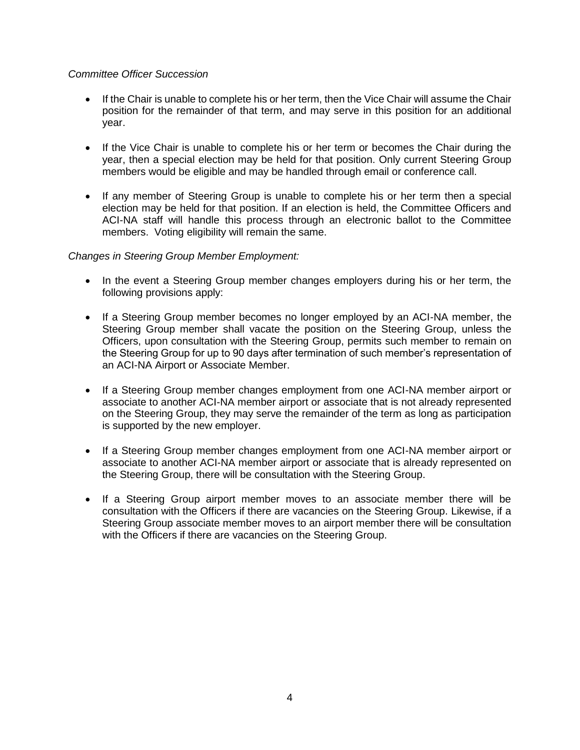#### *Committee Officer Succession*

- If the Chair is unable to complete his or her term, then the Vice Chair will assume the Chair position for the remainder of that term, and may serve in this position for an additional year.
- If the Vice Chair is unable to complete his or her term or becomes the Chair during the year, then a special election may be held for that position. Only current Steering Group members would be eligible and may be handled through email or conference call.
- If any member of Steering Group is unable to complete his or her term then a special election may be held for that position. If an election is held, the Committee Officers and ACI-NA staff will handle this process through an electronic ballot to the Committee members. Voting eligibility will remain the same.

### *Changes in Steering Group Member Employment:*

- In the event a Steering Group member changes employers during his or her term, the following provisions apply:
- If a Steering Group member becomes no longer employed by an ACI-NA member, the Steering Group member shall vacate the position on the Steering Group, unless the Officers, upon consultation with the Steering Group, permits such member to remain on the Steering Group for up to 90 days after termination of such member's representation of an ACI-NA Airport or Associate Member.
- If a Steering Group member changes employment from one ACI-NA member airport or associate to another ACI-NA member airport or associate that is not already represented on the Steering Group, they may serve the remainder of the term as long as participation is supported by the new employer.
- If a Steering Group member changes employment from one ACI-NA member airport or associate to another ACI-NA member airport or associate that is already represented on the Steering Group, there will be consultation with the Steering Group.
- If a Steering Group airport member moves to an associate member there will be consultation with the Officers if there are vacancies on the Steering Group. Likewise, if a Steering Group associate member moves to an airport member there will be consultation with the Officers if there are vacancies on the Steering Group.